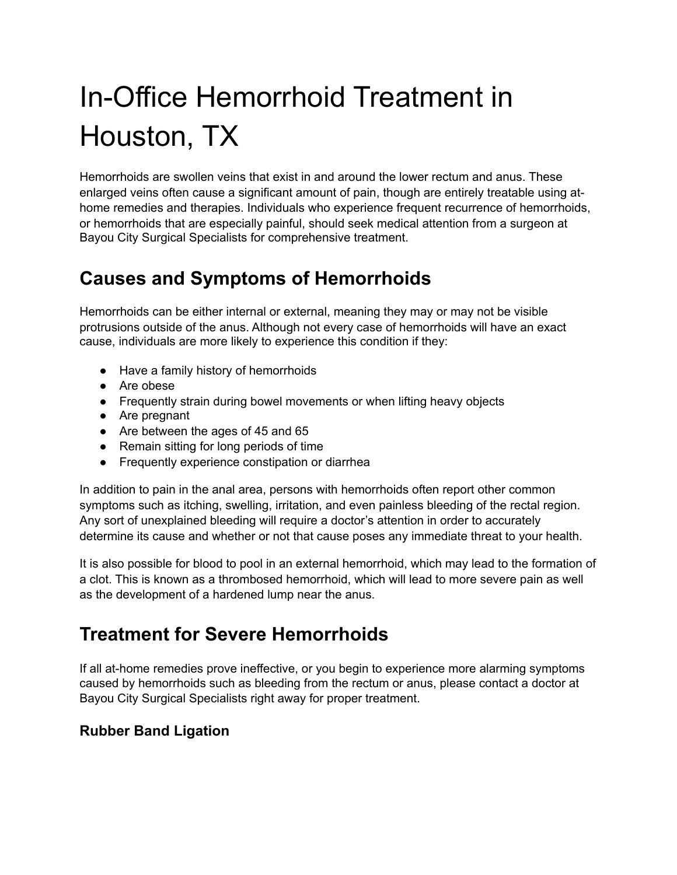# In-Office Hemorrhoid Treatment in Houston, TX

Hemorrhoids are swollen veins that exist in and around the lower rectum and anus. These enlarged veins often cause a significant amount of pain, though are entirely treatable using athome remedies and therapies. Individuals who experience frequent recurrence of hemorrhoids, or hemorrhoids that are especially painful, should seek medical attention from a surgeon at Bayou City Surgical Specialists for comprehensive treatment.

## **Causes and Symptoms of Hemorrhoids**

Hemorrhoids can be either internal or external, meaning they may or may not be visible protrusions outside of the anus. Although not every case of hemorrhoids will have an exact cause, individuals are more likely to experience this condition if they:

- Have a family history of hemorrhoids
- Are obese
- Frequently strain during bowel movements or when lifting heavy objects
- Are pregnant
- Are between the ages of 45 and 65
- Remain sitting for long periods of time
- Frequently experience constipation or diarrhea

In addition to pain in the anal area, persons with hemorrhoids often report other common symptoms such as itching, swelling, irritation, and even painless bleeding of the rectal region. Any sort of unexplained bleeding will require a doctor's attention in order to accurately determine its cause and whether or not that cause poses any immediate threat to your health.

It is also possible for blood to pool in an external hemorrhoid, which may lead to the formation of a clot. This is known as a thrombosed hemorrhoid, which will lead to more severe pain as well as the development of a hardened lump near the anus.

## **Treatment for Severe Hemorrhoids**

If all at-home remedies prove ineffective, or you begin to experience more alarming symptoms caused by hemorrhoids such as bleeding from the rectum or anus, please contact a doctor at Bayou City Surgical Specialists right away for proper treatment.

#### **Rubber Band Ligation**